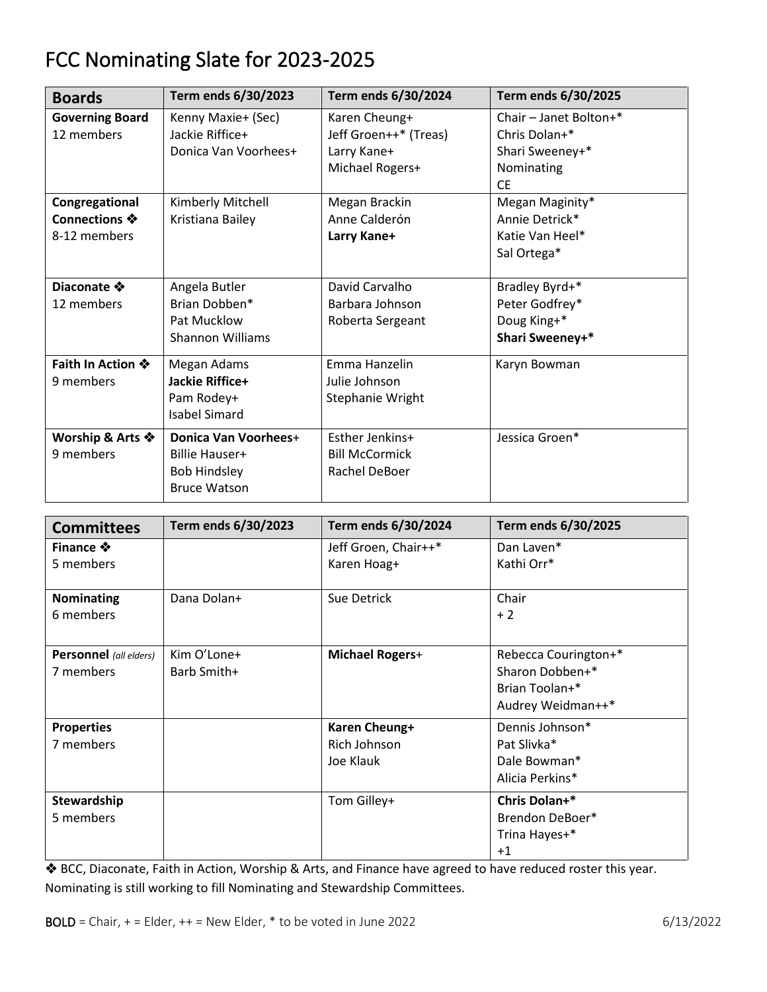## FCC Nominating Slate for 2023-2025

|                        | Term ends 6/30/2023     | Term ends 6/30/2024   | Term ends 6/30/2025    |
|------------------------|-------------------------|-----------------------|------------------------|
| <b>Boards</b>          |                         |                       |                        |
| <b>Governing Board</b> | Kenny Maxie+ (Sec)      | Karen Cheung+         | Chair - Janet Bolton+* |
| 12 members             | Jackie Riffice+         | Jeff Groen++* (Treas) | Chris Dolan+*          |
|                        | Donica Van Voorhees+    | Larry Kane+           | Shari Sweeney+*        |
|                        |                         | Michael Rogers+       | Nominating             |
|                        |                         |                       | <b>CE</b>              |
| Congregational         | Kimberly Mitchell       | Megan Brackin         | Megan Maginity*        |
| Connections ❖          | Kristiana Bailey        | Anne Calderón         | Annie Detrick*         |
| 8-12 members           |                         | Larry Kane+           | Katie Van Heel*        |
|                        |                         |                       | Sal Ortega*            |
|                        |                         |                       |                        |
| Diaconate ❖            | Angela Butler           | David Carvalho        | Bradley Byrd+*         |
| 12 members             | Brian Dobben*           | Barbara Johnson       | Peter Godfrey*         |
|                        | Pat Mucklow             | Roberta Sergeant      | Doug King+*            |
|                        | <b>Shannon Williams</b> |                       | Shari Sweeney+*        |
| Faith In Action ※      | Megan Adams             | Emma Hanzelin         | Karyn Bowman           |
| 9 members              | Jackie Riffice+         | Julie Johnson         |                        |
|                        | Pam Rodey+              | Stephanie Wright      |                        |
|                        | <b>Isabel Simard</b>    |                       |                        |
| Worship & Arts ❖       | Donica Van Voorhees+    | Esther Jenkins+       | Jessica Groen*         |
| 9 members              | <b>Billie Hauser+</b>   | <b>Bill McCormick</b> |                        |
|                        | <b>Bob Hindsley</b>     | Rachel DeBoer         |                        |
|                        | <b>Bruce Watson</b>     |                       |                        |

| <b>Committees</b>                   | Term ends 6/30/2023        | Term ends 6/30/2024                        | Term ends 6/30/2025                                                            |
|-------------------------------------|----------------------------|--------------------------------------------|--------------------------------------------------------------------------------|
| Finance ※<br>5 members              |                            | Jeff Groen, Chair++*<br>Karen Hoag+        | Dan Laven*<br>Kathi Orr*                                                       |
| Nominating<br>6 members             | Dana Dolan+                | Sue Detrick                                | Chair<br>$+2$                                                                  |
| Personnel (all elders)<br>7 members | Kim O'Lone+<br>Barb Smith+ | <b>Michael Rogers+</b>                     | Rebecca Courington+*<br>Sharon Dobben+*<br>Brian Toolan+*<br>Audrey Weidman++* |
| <b>Properties</b><br>7 members      |                            | Karen Cheung+<br>Rich Johnson<br>Joe Klauk | Dennis Johnson*<br>Pat Slivka*<br>Dale Bowman*<br>Alicia Perkins*              |
| Stewardship<br>5 members            |                            | Tom Gilley+                                | Chris Dolan+*<br>Brendon DeBoer*<br>Trina Hayes+*<br>$+1$                      |

❖ BCC, Diaconate, Faith in Action, Worship & Arts, and Finance have agreed to have reduced roster this year. Nominating is still working to fill Nominating and Stewardship Committees.